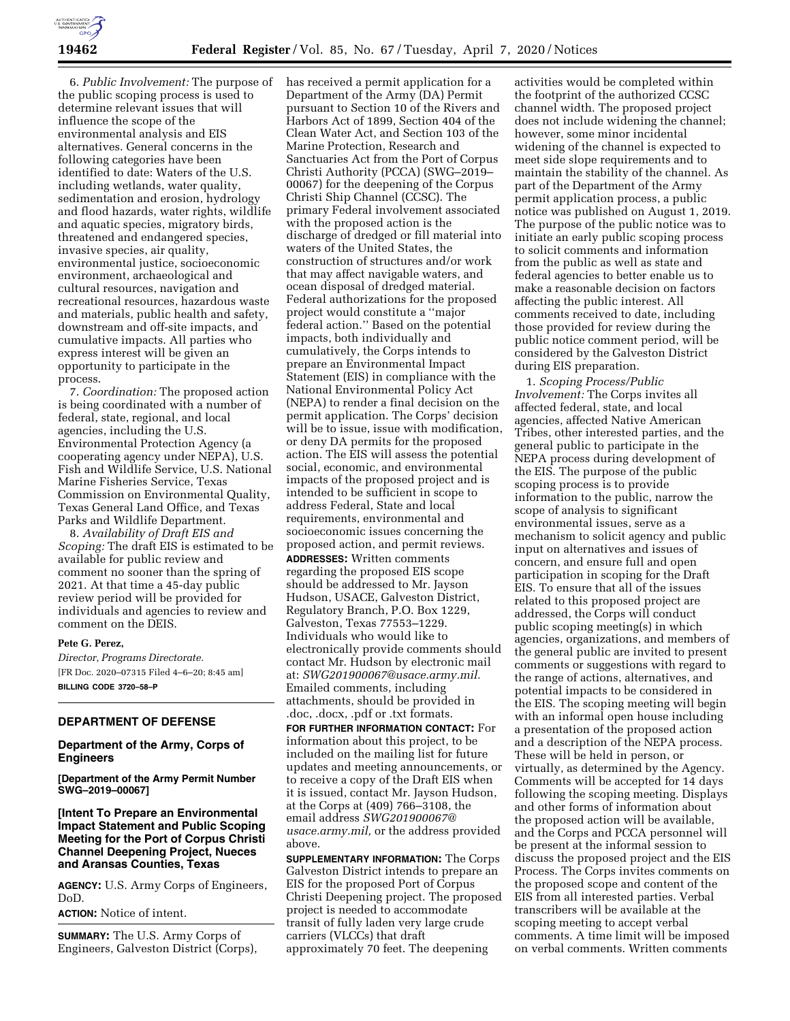6. *Public Involvement:* The purpose of the public scoping process is used to determine relevant issues that will influence the scope of the environmental analysis and EIS alternatives. General concerns in the following categories have been identified to date: Waters of the U.S. including wetlands, water quality, sedimentation and erosion, hydrology and flood hazards, water rights, wildlife and aquatic species, migratory birds, threatened and endangered species, invasive species, air quality, environmental justice, socioeconomic environment, archaeological and cultural resources, navigation and recreational resources, hazardous waste and materials, public health and safety, downstream and off-site impacts, and cumulative impacts. All parties who express interest will be given an opportunity to participate in the process.

7. *Coordination:* The proposed action is being coordinated with a number of federal, state, regional, and local agencies, including the U.S. Environmental Protection Agency (a cooperating agency under NEPA), U.S. Fish and Wildlife Service, U.S. National Marine Fisheries Service, Texas Commission on Environmental Quality, Texas General Land Office, and Texas Parks and Wildlife Department.

8. *Availability of Draft EIS and Scoping:* The draft EIS is estimated to be available for public review and comment no sooner than the spring of 2021. At that time a 45-day public review period will be provided for individuals and agencies to review and comment on the DEIS.

#### **Pete G. Perez,**

*Director, Programs Directorate.*  [FR Doc. 2020–07315 Filed 4–6–20; 8:45 am] **BILLING CODE 3720–58–P** 

## **DEPARTMENT OF DEFENSE**

### **Department of the Army, Corps of Engineers**

**[Department of the Army Permit Number SWG–2019–00067]** 

# **[Intent To Prepare an Environmental Impact Statement and Public Scoping Meeting for the Port of Corpus Christi Channel Deepening Project, Nueces and Aransas Counties, Texas**

**AGENCY:** U.S. Army Corps of Engineers, DoD.

**ACTION:** Notice of intent.

**SUMMARY:** The U.S. Army Corps of Engineers, Galveston District (Corps), has received a permit application for a Department of the Army (DA) Permit pursuant to Section 10 of the Rivers and Harbors Act of 1899, Section 404 of the Clean Water Act, and Section 103 of the Marine Protection, Research and Sanctuaries Act from the Port of Corpus Christi Authority (PCCA) (SWG–2019– 00067) for the deepening of the Corpus Christi Ship Channel (CCSC). The primary Federal involvement associated with the proposed action is the discharge of dredged or fill material into waters of the United States, the construction of structures and/or work that may affect navigable waters, and ocean disposal of dredged material. Federal authorizations for the proposed project would constitute a ''major federal action.'' Based on the potential impacts, both individually and cumulatively, the Corps intends to prepare an Environmental Impact Statement (EIS) in compliance with the National Environmental Policy Act (NEPA) to render a final decision on the permit application. The Corps' decision will be to issue, issue with modification, or deny DA permits for the proposed action. The EIS will assess the potential social, economic, and environmental impacts of the proposed project and is intended to be sufficient in scope to address Federal, State and local requirements, environmental and socioeconomic issues concerning the proposed action, and permit reviews. **ADDRESSES:** Written comments regarding the proposed EIS scope should be addressed to Mr. Jayson Hudson, USACE, Galveston District, Regulatory Branch, P.O. Box 1229, Galveston, Texas 77553–1229. Individuals who would like to electronically provide comments should contact Mr. Hudson by electronic mail at: *[SWG201900067@usace.army.mil.](mailto:SWG201900067@usace.army.mil)*  Emailed comments, including attachments, should be provided in .doc, .docx, .pdf or .txt formats.

**FOR FURTHER INFORMATION CONTACT:** For information about this project, to be included on the mailing list for future updates and meeting announcements, or to receive a copy of the Draft EIS when it is issued, contact Mr. Jayson Hudson, at the Corps at (409) 766–3108, the email address *[SWG201900067@](mailto:SWG201900067@usace.army.mil) [usace.army.mil,](mailto:SWG201900067@usace.army.mil)* or the address provided above.

**SUPPLEMENTARY INFORMATION:** The Corps Galveston District intends to prepare an EIS for the proposed Port of Corpus Christi Deepening project. The proposed project is needed to accommodate transit of fully laden very large crude carriers (VLCCs) that draft approximately 70 feet. The deepening

activities would be completed within the footprint of the authorized CCSC channel width. The proposed project does not include widening the channel; however, some minor incidental widening of the channel is expected to meet side slope requirements and to maintain the stability of the channel. As part of the Department of the Army permit application process, a public notice was published on August 1, 2019. The purpose of the public notice was to initiate an early public scoping process to solicit comments and information from the public as well as state and federal agencies to better enable us to make a reasonable decision on factors affecting the public interest. All comments received to date, including those provided for review during the public notice comment period, will be considered by the Galveston District during EIS preparation.

1. *Scoping Process/Public Involvement:* The Corps invites all affected federal, state, and local agencies, affected Native American Tribes, other interested parties, and the general public to participate in the NEPA process during development of the EIS. The purpose of the public scoping process is to provide information to the public, narrow the scope of analysis to significant environmental issues, serve as a mechanism to solicit agency and public input on alternatives and issues of concern, and ensure full and open participation in scoping for the Draft EIS. To ensure that all of the issues related to this proposed project are addressed, the Corps will conduct public scoping meeting(s) in which agencies, organizations, and members of the general public are invited to present comments or suggestions with regard to the range of actions, alternatives, and potential impacts to be considered in the EIS. The scoping meeting will begin with an informal open house including a presentation of the proposed action and a description of the NEPA process. These will be held in person, or virtually, as determined by the Agency. Comments will be accepted for 14 days following the scoping meeting. Displays and other forms of information about the proposed action will be available, and the Corps and PCCA personnel will be present at the informal session to discuss the proposed project and the EIS Process. The Corps invites comments on the proposed scope and content of the EIS from all interested parties. Verbal transcribers will be available at the scoping meeting to accept verbal comments. A time limit will be imposed on verbal comments. Written comments